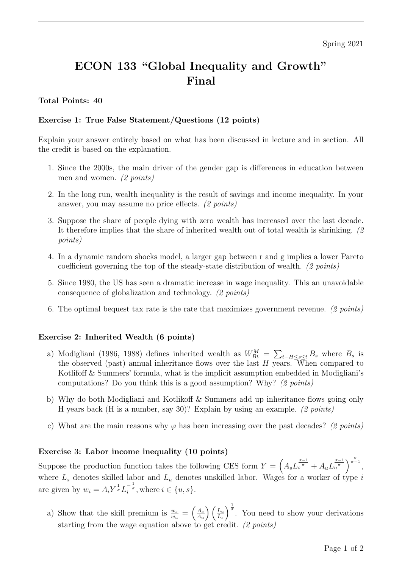# ECON 133 "Global Inequality and Growth" Final

## Total Points: 40

### Exercise 1: True False Statement/Questions (12 points)

Explain your answer entirely based on what has been discussed in lecture and in section. All the credit is based on the explanation.

- 1. Since the 2000s, the main driver of the gender gap is differences in education between men and women. (2 points)
- 2. In the long run, wealth inequality is the result of savings and income inequality. In your answer, you may assume no price effects. (2 points)
- 3. Suppose the share of people dying with zero wealth has increased over the last decade. It therefore implies that the share of inherited wealth out of total wealth is shrinking. (2 points)
- 4. In a dynamic random shocks model, a larger gap between r and g implies a lower Pareto coefficient governing the top of the steady-state distribution of wealth. (2 points)
- 5. Since 1980, the US has seen a dramatic increase in wage inequality. This an unavoidable consequence of globalization and technology. (2 points)
- 6. The optimal bequest tax rate is the rate that maximizes government revenue. (2 points)

#### Exercise 2: Inherited Wealth (6 points)

- a) Modigliani (1986, 1988) defines inherited wealth as  $W_{Bt}^M = \sum_{t-H \le s \le t} B_s$  where  $B_s$  is the observed (past) annual inheritance flows over the last  $H$  years. When compared to Kotlifoff & Summers' formula, what is the implicit assumption embedded in Modigliani's computations? Do you think this is a good assumption? Why? (2 points)
- b) Why do both Modigliani and Kotlikoff & Summers add up inheritance flows going only H years back (H is a number, say 30)? Explain by using an example. (2 points)
- c) What are the main reasons why  $\varphi$  has been increasing over the past decades? (2 points)

#### Exercise 3: Labor income inequality (10 points)

Suppose the production function takes the following CES form  $Y = \left(A_s L_s^{\frac{\sigma-1}{\sigma}} + A_u L_u^{\frac{\sigma-1}{\sigma}}\right)^{\frac{\sigma}{\sigma-1}},$ where  $L_s$  denotes skilled labor and  $L_u$  denotes unskilled labor. Wages for a worker of type i are given by  $w_i = A_i Y^{\frac{1}{\sigma}} L_i^{-\frac{1}{\sigma}}$ , where  $i \in \{u, s\}$ .

a) Show that the skill premium is  $\frac{w_s}{w_u} = \left(\frac{A_s}{A_u}\right)$  $A_u$  $\bigwedge L_u$  $L_s$  $\int_{0}^{\frac{1}{\sigma}}$ . You need to show your derivations starting from the wage equation above to get credit. (2 points)